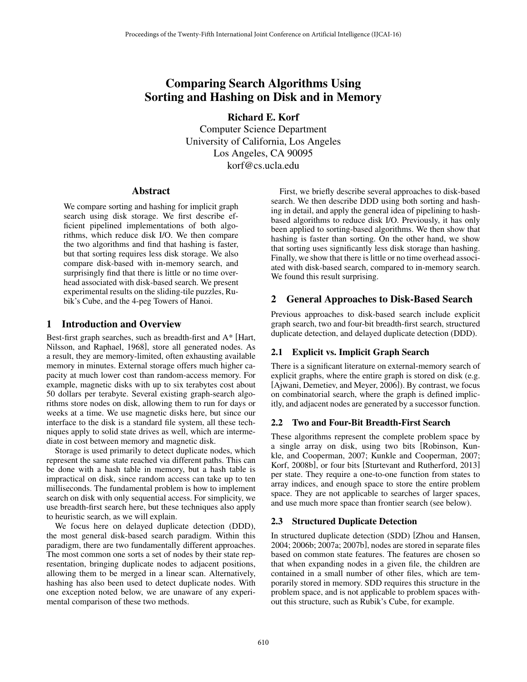# Comparing Search Algorithms Using Sorting and Hashing on Disk and in Memory

Richard E. Korf Computer Science Department University of California, Los Angeles Los Angeles, CA 90095 korf@cs.ucla.edu

# Abstract

We compare sorting and hashing for implicit graph search using disk storage. We first describe efficient pipelined implementations of both algorithms, which reduce disk I/O. We then compare the two algorithms and find that hashing is faster, but that sorting requires less disk storage. We also compare disk-based with in-memory search, and surprisingly find that there is little or no time overhead associated with disk-based search. We present experimental results on the sliding-tile puzzles, Rubik's Cube, and the 4-peg Towers of Hanoi.

# 1 Introduction and Overview

Best-first graph searches, such as breadth-first and A\* [Hart, Nilsson, and Raphael, 1968], store all generated nodes. As a result, they are memory-limited, often exhausting available memory in minutes. External storage offers much higher capacity at much lower cost than random-access memory. For example, magnetic disks with up to six terabytes cost about 50 dollars per terabyte. Several existing graph-search algorithms store nodes on disk, allowing them to run for days or weeks at a time. We use magnetic disks here, but since our interface to the disk is a standard file system, all these techniques apply to solid state drives as well, which are intermediate in cost between memory and magnetic disk.

Storage is used primarily to detect duplicate nodes, which represent the same state reached via different paths. This can be done with a hash table in memory, but a hash table is impractical on disk, since random access can take up to ten milliseconds. The fundamental problem is how to implement search on disk with only sequential access. For simplicity, we use breadth-first search here, but these techniques also apply to heuristic search, as we will explain.

We focus here on delayed duplicate detection (DDD), the most general disk-based search paradigm. Within this paradigm, there are two fundamentally different approaches. The most common one sorts a set of nodes by their state representation, bringing duplicate nodes to adjacent positions, allowing them to be merged in a linear scan. Alternatively, hashing has also been used to detect duplicate nodes. With one exception noted below, we are unaware of any experimental comparison of these two methods.

First, we briefly describe several approaches to disk-based search. We then describe DDD using both sorting and hashing in detail, and apply the general idea of pipelining to hashbased algorithms to reduce disk I/O. Previously, it has only been applied to sorting-based algorithms. We then show that hashing is faster than sorting. On the other hand, we show that sorting uses significantly less disk storage than hashing. Finally, we show that there is little or no time overhead associated with disk-based search, compared to in-memory search. We found this result surprising.

# 2 General Approaches to Disk-Based Search

Previous approaches to disk-based search include explicit graph search, two and four-bit breadth-first search, structured duplicate detection, and delayed duplicate detection (DDD).

# 2.1 Explicit vs. Implicit Graph Search

There is a significant literature on external-memory search of explicit graphs, where the entire graph is stored on disk (e.g. [Ajwani, Demetiev, and Meyer, 2006]). By contrast, we focus on combinatorial search, where the graph is defined implicitly, and adjacent nodes are generated by a successor function.

# 2.2 Two and Four-Bit Breadth-First Search

These algorithms represent the complete problem space by a single array on disk, using two bits [Robinson, Kunkle, and Cooperman, 2007; Kunkle and Cooperman, 2007; Korf, 2008b], or four bits [Sturtevant and Rutherford, 2013] per state. They require a one-to-one function from states to array indices, and enough space to store the entire problem space. They are not applicable to searches of larger spaces, and use much more space than frontier search (see below).

# 2.3 Structured Duplicate Detection

In structured duplicate detection (SDD) [Zhou and Hansen, 2004; 2006b; 2007a; 2007b], nodes are stored in separate files based on common state features. The features are chosen so that when expanding nodes in a given file, the children are contained in a small number of other files, which are temporarily stored in memory. SDD requires this structure in the problem space, and is not applicable to problem spaces without this structure, such as Rubik's Cube, for example.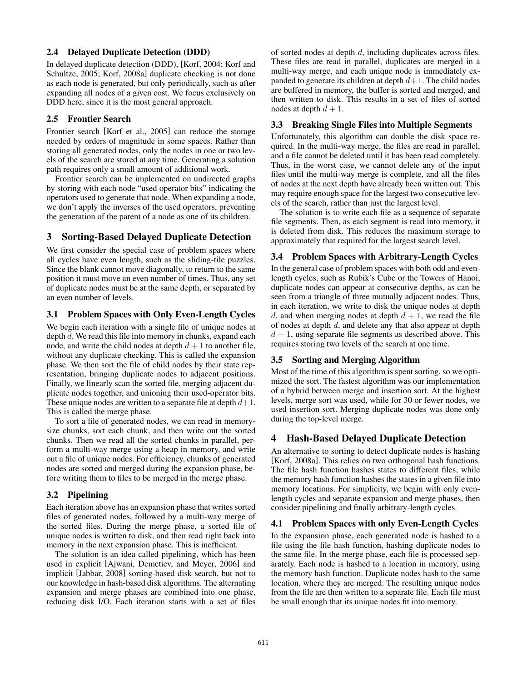#### 2.4 Delayed Duplicate Detection (DDD)

In delayed duplicate detection (DDD), [Korf, 2004; Korf and Schultze, 2005; Korf, 2008a] duplicate checking is not done as each node is generated, but only periodically, such as after expanding all nodes of a given cost. We focus exclusively on DDD here, since it is the most general approach.

#### 2.5 Frontier Search

Frontier search [Korf et al., 2005] can reduce the storage needed by orders of magnitude in some spaces. Rather than storing all generated nodes, only the nodes in one or two levels of the search are stored at any time. Generating a solution path requires only a small amount of additional work.

Frontier search can be implemented on undirected graphs by storing with each node "used operator bits" indicating the operators used to generate that node. When expanding a node, we don't apply the inverses of the used operators, preventing the generation of the parent of a node as one of its children.

# 3 Sorting-Based Delayed Duplicate Detection

We first consider the special case of problem spaces where all cycles have even length, such as the sliding-tile puzzles. Since the blank cannot move diagonally, to return to the same position it must move an even number of times. Thus, any set of duplicate nodes must be at the same depth, or separated by an even number of levels.

#### 3.1 Problem Spaces with Only Even-Length Cycles

We begin each iteration with a single file of unique nodes at depth *d*. We read this file into memory in chunks, expand each node, and write the child nodes at depth  $d+1$  to another file, without any duplicate checking. This is called the expansion phase. We then sort the file of child nodes by their state representation, bringing duplicate nodes to adjacent positions. Finally, we linearly scan the sorted file, merging adjacent duplicate nodes together, and unioning their used-operator bits. These unique nodes are written to a separate file at depth *d*+1. This is called the merge phase.

To sort a file of generated nodes, we can read in memorysize chunks, sort each chunk, and then write out the sorted chunks. Then we read all the sorted chunks in parallel, perform a multi-way merge using a heap in memory, and write out a file of unique nodes. For efficiency, chunks of generated nodes are sorted and merged during the expansion phase, before writing them to files to be merged in the merge phase.

# 3.2 Pipelining

Each iteration above has an expansion phase that writes sorted files of generated nodes, followed by a multi-way merge of the sorted files. During the merge phase, a sorted file of unique nodes is written to disk, and then read right back into memory in the next expansion phase. This is inefficient.

The solution is an idea called pipelining, which has been used in explicit [Ajwani, Demetiev, and Meyer, 2006] and implicit [Jabbar, 2008] sorting-based disk search, but not to our knowledge in hash-based disk algorithms. The alternating expansion and merge phases are combined into one phase, reducing disk I/O. Each iteration starts with a set of files of sorted nodes at depth *d*, including duplicates across files. These files are read in parallel, duplicates are merged in a multi-way merge, and each unique node is immediately expanded to generate its children at depth  $d+1$ . The child nodes are buffered in memory, the buffer is sorted and merged, and then written to disk. This results in a set of files of sorted nodes at depth  $d + 1$ .

#### 3.3 Breaking Single Files into Multiple Segments

Unfortunately, this algorithm can double the disk space required. In the multi-way merge, the files are read in parallel, and a file cannot be deleted until it has been read completely. Thus, in the worst case, we cannot delete any of the input files until the multi-way merge is complete, and all the files of nodes at the next depth have already been written out. This may require enough space for the largest two consecutive levels of the search, rather than just the largest level.

The solution is to write each file as a sequence of separate file segments. Then, as each segment is read into memory, it is deleted from disk. This reduces the maximum storage to approximately that required for the largest search level.

# 3.4 Problem Spaces with Arbitrary-Length Cycles

In the general case of problem spaces with both odd and evenlength cycles, such as Rubik's Cube or the Towers of Hanoi, duplicate nodes can appear at consecutive depths, as can be seen from a triangle of three mutually adjacent nodes. Thus, in each iteration, we write to disk the unique nodes at depth *d*, and when merging nodes at depth  $d + 1$ , we read the file of nodes at depth *d*, and delete any that also appear at depth  $d + 1$ , using separate file segments as described above. This requires storing two levels of the search at one time.

# 3.5 Sorting and Merging Algorithm

Most of the time of this algorithm is spent sorting, so we optimized the sort. The fastest algorithm was our implementation of a hybrid between merge and insertion sort. At the highest levels, merge sort was used, while for 30 or fewer nodes, we used insertion sort. Merging duplicate nodes was done only during the top-level merge.

# 4 Hash-Based Delayed Duplicate Detection

An alternative to sorting to detect duplicate nodes is hashing [Korf, 2008a]. This relies on two orthogonal hash functions. The file hash function hashes states to different files, while the memory hash function hashes the states in a given file into memory locations. For simplicity, we begin with only evenlength cycles and separate expansion and merge phases, then consider pipelining and finally arbitrary-length cycles.

# 4.1 Problem Spaces with only Even-Length Cycles

In the expansion phase, each generated node is hashed to a file using the file hash function, hashing duplicate nodes to the same file. In the merge phase, each file is processed separately. Each node is hashed to a location in memory, using the memory hash function. Duplicate nodes hash to the same location, where they are merged. The resulting unique nodes from the file are then written to a separate file. Each file must be small enough that its unique nodes fit into memory.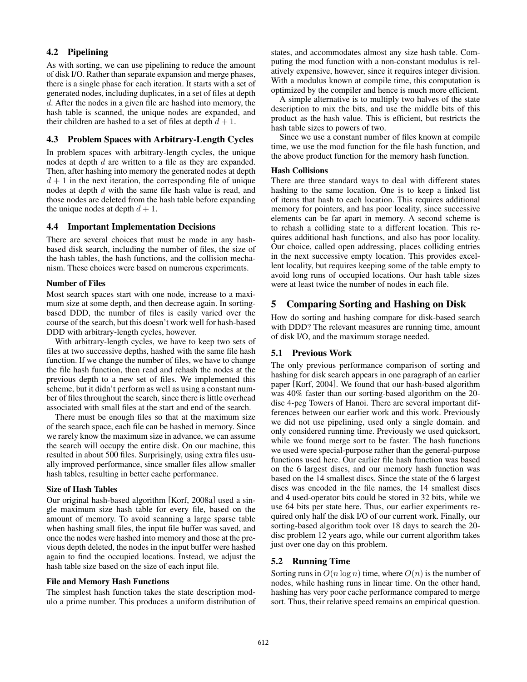# 4.2 Pipelining

As with sorting, we can use pipelining to reduce the amount of disk I/O. Rather than separate expansion and merge phases, there is a single phase for each iteration. It starts with a set of generated nodes, including duplicates, in a set of files at depth *d*. After the nodes in a given file are hashed into memory, the hash table is scanned, the unique nodes are expanded, and their children are hashed to a set of files at depth  $d + 1$ .

#### 4.3 Problem Spaces with Arbitrary-Length Cycles

In problem spaces with arbitrary-length cycles, the unique nodes at depth *d* are written to a file as they are expanded. Then, after hashing into memory the generated nodes at depth  $d + 1$  in the next iteration, the corresponding file of unique nodes at depth *d* with the same file hash value is read, and those nodes are deleted from the hash table before expanding the unique nodes at depth  $d + 1$ .

#### 4.4 Important Implementation Decisions

There are several choices that must be made in any hashbased disk search, including the number of files, the size of the hash tables, the hash functions, and the collision mechanism. These choices were based on numerous experiments.

#### Number of Files

Most search spaces start with one node, increase to a maximum size at some depth, and then decrease again. In sortingbased DDD, the number of files is easily varied over the course of the search, but this doesn't work well for hash-based DDD with arbitrary-length cycles, however.

With arbitrary-length cycles, we have to keep two sets of files at two successive depths, hashed with the same file hash function. If we change the number of files, we have to change the file hash function, then read and rehash the nodes at the previous depth to a new set of files. We implemented this scheme, but it didn't perform as well as using a constant number of files throughout the search, since there is little overhead associated with small files at the start and end of the search.

There must be enough files so that at the maximum size of the search space, each file can be hashed in memory. Since we rarely know the maximum size in advance, we can assume the search will occupy the entire disk. On our machine, this resulted in about 500 files. Surprisingly, using extra files usually improved performance, since smaller files allow smaller hash tables, resulting in better cache performance.

#### Size of Hash Tables

Our original hash-based algorithm [Korf, 2008a] used a single maximum size hash table for every file, based on the amount of memory. To avoid scanning a large sparse table when hashing small files, the input file buffer was saved, and once the nodes were hashed into memory and those at the previous depth deleted, the nodes in the input buffer were hashed again to find the occupied locations. Instead, we adjust the hash table size based on the size of each input file.

#### File and Memory Hash Functions

The simplest hash function takes the state description modulo a prime number. This produces a uniform distribution of states, and accommodates almost any size hash table. Computing the mod function with a non-constant modulus is relatively expensive, however, since it requires integer division. With a modulus known at compile time, this computation is optimized by the compiler and hence is much more efficient.

A simple alternative is to multiply two halves of the state description to mix the bits, and use the middle bits of this product as the hash value. This is efficient, but restricts the hash table sizes to powers of two.

Since we use a constant number of files known at compile time, we use the mod function for the file hash function, and the above product function for the memory hash function.

#### Hash Collisions

There are three standard ways to deal with different states hashing to the same location. One is to keep a linked list of items that hash to each location. This requires additional memory for pointers, and has poor locality, since successive elements can be far apart in memory. A second scheme is to rehash a colliding state to a different location. This requires additional hash functions, and also has poor locality. Our choice, called open addressing, places colliding entries in the next successive empty location. This provides excellent locality, but requires keeping some of the table empty to avoid long runs of occupied locations. Our hash table sizes were at least twice the number of nodes in each file.

# 5 Comparing Sorting and Hashing on Disk

How do sorting and hashing compare for disk-based search with DDD? The relevant measures are running time, amount of disk I/O, and the maximum storage needed.

#### 5.1 Previous Work

The only previous performance comparison of sorting and hashing for disk search appears in one paragraph of an earlier paper [Korf, 2004]. We found that our hash-based algorithm was 40% faster than our sorting-based algorithm on the 20 disc 4-peg Towers of Hanoi. There are several important differences between our earlier work and this work. Previously we did not use pipelining, used only a single domain. and only considered running time. Previously we used quicksort, while we found merge sort to be faster. The hash functions we used were special-purpose rather than the general-purpose functions used here. Our earlier file hash function was based on the 6 largest discs, and our memory hash function was based on the 14 smallest discs. Since the state of the 6 largest discs was encoded in the file names, the 14 smallest discs and 4 used-operator bits could be stored in 32 bits, while we use 64 bits per state here. Thus, our earlier experiments required only half the disk I/O of our current work. Finally, our sorting-based algorithm took over 18 days to search the 20 disc problem 12 years ago, while our current algorithm takes just over one day on this problem.

# 5.2 Running Time

Sorting runs in  $O(n \log n)$  time, where  $O(n)$  is the number of nodes, while hashing runs in linear time. On the other hand, hashing has very poor cache performance compared to merge sort. Thus, their relative speed remains an empirical question.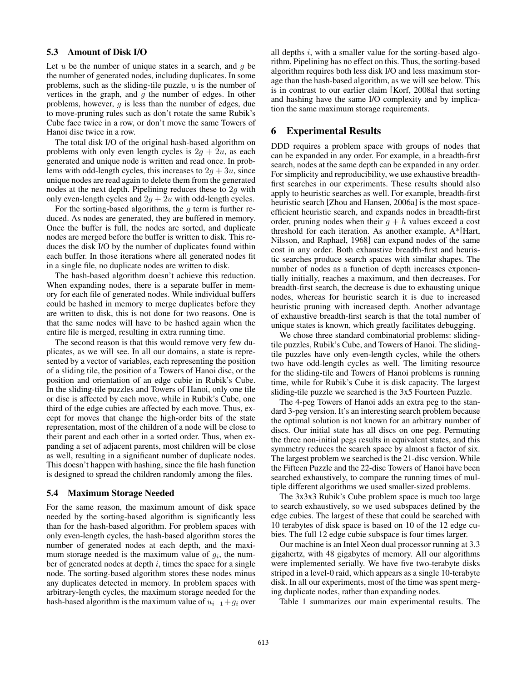#### 5.3 Amount of Disk I/O

Let *u* be the number of unique states in a search, and *g* be the number of generated nodes, including duplicates. In some problems, such as the sliding-tile puzzle, *u* is the number of vertices in the graph, and *g* the number of edges. In other problems, however, *g* is less than the number of edges, due to move-pruning rules such as don't rotate the same Rubik's Cube face twice in a row, or don't move the same Towers of Hanoi disc twice in a row.

The total disk I/O of the original hash-based algorithm on problems with only even length cycles is  $2g + 2u$ , as each generated and unique node is written and read once. In problems with odd-length cycles, this increases to  $2g + 3u$ , since unique nodes are read again to delete them from the generated nodes at the next depth. Pipelining reduces these to 2*g* with only even-length cycles and  $2g + 2u$  with odd-length cycles.

For the sorting-based algorithms, the *g* term is further reduced. As nodes are generated, they are buffered in memory. Once the buffer is full, the nodes are sorted, and duplicate nodes are merged before the buffer is written to disk. This reduces the disk I/O by the number of duplicates found within each buffer. In those iterations where all generated nodes fit in a single file, no duplicate nodes are written to disk.

The hash-based algorithm doesn't achieve this reduction. When expanding nodes, there is a separate buffer in memory for each file of generated nodes. While individual buffers could be hashed in memory to merge duplicates before they are written to disk, this is not done for two reasons. One is that the same nodes will have to be hashed again when the entire file is merged, resulting in extra running time.

The second reason is that this would remove very few duplicates, as we will see. In all our domains, a state is represented by a vector of variables, each representing the position of a sliding tile, the position of a Towers of Hanoi disc, or the position and orientation of an edge cubie in Rubik's Cube. In the sliding-tile puzzles and Towers of Hanoi, only one tile or disc is affected by each move, while in Rubik's Cube, one third of the edge cubies are affected by each move. Thus, except for moves that change the high-order bits of the state representation, most of the children of a node will be close to their parent and each other in a sorted order. Thus, when expanding a set of adjacent parents, most children will be close as well, resulting in a significant number of duplicate nodes. This doesn't happen with hashing, since the file hash function is designed to spread the children randomly among the files.

#### 5.4 Maximum Storage Needed

For the same reason, the maximum amount of disk space needed by the sorting-based algorithm is significantly less than for the hash-based algorithm. For problem spaces with only even-length cycles, the hash-based algorithm stores the number of generated nodes at each depth, and the maximum storage needed is the maximum value of  $g_i$ , the number of generated nodes at depth *i*, times the space for a single node. The sorting-based algorithm stores these nodes minus any duplicates detected in memory. In problem spaces with arbitrary-length cycles, the maximum storage needed for the hash-based algorithm is the maximum value of  $u_{i-1} + g_i$  over all depths *i*, with a smaller value for the sorting-based algorithm. Pipelining has no effect on this. Thus, the sorting-based algorithm requires both less disk I/O and less maximum storage than the hash-based algorithm, as we will see below. This is in contrast to our earlier claim [Korf, 2008a] that sorting and hashing have the same I/O complexity and by implication the same maximum storage requirements.

#### 6 Experimental Results

DDD requires a problem space with groups of nodes that can be expanded in any order. For example, in a breadth-first search, nodes at the same depth can be expanded in any order. For simplicity and reproducibility, we use exhaustive breadthfirst searches in our experiments. These results should also apply to heuristic searches as well. For example, breadth-first heuristic search [Zhou and Hansen, 2006a] is the most spaceefficient heuristic search, and expands nodes in breadth-first order, pruning nodes when their  $g + h$  values exceed a cost threshold for each iteration. As another example, A\*[Hart, Nilsson, and Raphael, 1968] can expand nodes of the same cost in any order. Both exhaustive breadth-first and heuristic searches produce search spaces with similar shapes. The number of nodes as a function of depth increases exponentially initially, reaches a maximum, and then decreases. For breadth-first search, the decrease is due to exhausting unique nodes, whereas for heuristic search it is due to increased heuristic pruning with increased depth. Another advantage of exhaustive breadth-first search is that the total number of unique states is known, which greatly facilitates debugging.

We chose three standard combinatorial problems: slidingtile puzzles, Rubik's Cube, and Towers of Hanoi. The slidingtile puzzles have only even-length cycles, while the others two have odd-length cycles as well. The limiting resource for the sliding-tile and Towers of Hanoi problems is running time, while for Rubik's Cube it is disk capacity. The largest sliding-tile puzzle we searched is the 3x5 Fourteen Puzzle.

The 4-peg Towers of Hanoi adds an extra peg to the standard 3-peg version. It's an interesting search problem because the optimal solution is not known for an arbitrary number of discs. Our initial state has all discs on one peg. Permuting the three non-initial pegs results in equivalent states, and this symmetry reduces the search space by almost a factor of six. The largest problem we searched is the 21-disc version. While the Fifteen Puzzle and the 22-disc Towers of Hanoi have been searched exhaustively, to compare the running times of multiple different algorithms we used smaller-sized problems.

The 3x3x3 Rubik's Cube problem space is much too large to search exhaustively, so we used subspaces defined by the edge cubies. The largest of these that could be searched with 10 terabytes of disk space is based on 10 of the 12 edge cubies. The full 12 edge cubie subspace is four times larger.

Our machine is an Intel Xeon dual processor running at 3.3 gigahertz, with 48 gigabytes of memory. All our algorithms were implemented serially. We have five two-terabyte disks striped in a level-0 raid, which appears as a single 10-terabyte disk. In all our experiments, most of the time was spent merging duplicate nodes, rather than expanding nodes.

Table 1 summarizes our main experimental results. The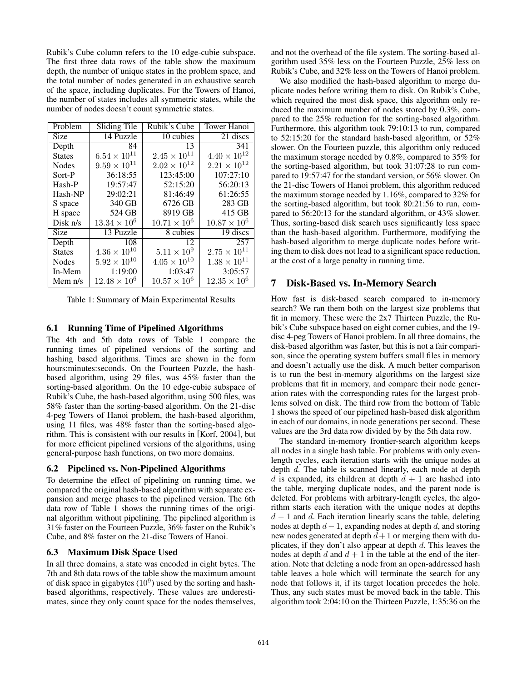Rubik's Cube column refers to the 10 edge-cubie subspace. The first three data rows of the table show the maximum depth, the number of unique states in the problem space, and the total number of nodes generated in an exhaustive search of the space, including duplicates. For the Towers of Hanoi, the number of states includes all symmetric states, while the number of nodes doesn't count symmetric states.

| Problem       | Sliding Tile          | Rubik's Cube          | <b>Tower Hanoi</b>    |
|---------------|-----------------------|-----------------------|-----------------------|
|               |                       |                       |                       |
| Size          | 14 Puzzle             | 10 cubies             | 21 discs              |
| Depth         | 84                    | 13                    | 341                   |
| <b>States</b> | $6.54 \times 10^{11}$ | $2.45 \times 10^{11}$ | $4.40 \times 10^{12}$ |
| <b>Nodes</b>  | $9.59 \times 10^{11}$ | $2.02 \times 10^{12}$ | $2.21 \times 10^{12}$ |
| Sort-P        | 36:18:55              | 123:45:00             | 107:27:10             |
| Hash-P        | 19:57:47              | 52:15:20              | 56:20:13              |
| Hash-NP       | 29:02:21              | 81:46:49              | 61:26:55              |
| S space       | 340 GB                | 6726 GB               | 283 GB                |
| H space       | 524 GB                | 8919 GB               | 415 GB                |
| Disk $n/s$    | $13.34 \times 10^{6}$ | $10.71 \times 10^6$   | $10.87 \times 10^6$   |
| <b>Size</b>   | 13 Puzzle             | 8 cubies              | 19 discs              |
| Depth         | 108                   | 12                    | 257                   |
| <b>States</b> | $4.36 \times 10^{10}$ | $5.11 \times 10^{9}$  | $2.75 \times 10^{11}$ |
| <b>Nodes</b>  | $5.92 \times 10^{10}$ | $4.05 \times 10^{10}$ | $1.38 \times 10^{11}$ |
| In-Mem        | 1:19:00               | 1:03:47               | 3:05:57               |
| Mem $n/s$     | $12.48 \times 10^6$   | $10.57 \times 10^6$   | $12.35 \times 10^6$   |

Table 1: Summary of Main Experimental Results

#### 6.1 Running Time of Pipelined Algorithms

The 4th and 5th data rows of Table 1 compare the running times of pipelined versions of the sorting and hashing based algorithms. Times are shown in the form hours:minutes:seconds. On the Fourteen Puzzle, the hashbased algorithm, using 29 files, was 45% faster than the sorting-based algorithm. On the 10 edge-cubie subspace of Rubik's Cube, the hash-based algorithm, using 500 files, was 58% faster than the sorting-based algorithm. On the 21-disc 4-peg Towers of Hanoi problem, the hash-based algorithm, using 11 files, was 48% faster than the sorting-based algorithm. This is consistent with our results in [Korf, 2004], but for more efficient pipelined versions of the algorithms, using general-purpose hash functions, on two more domains.

#### 6.2 Pipelined vs. Non-Pipelined Algorithms

To determine the effect of pipelining on running time, we compared the original hash-based algorithm with separate expansion and merge phases to the pipelined version. The 6th data row of Table 1 shows the running times of the original algorithm without pipelining. The pipelined algorithm is 31% faster on the Fourteen Puzzle, 36% faster on the Rubik's Cube, and 8% faster on the 21-disc Towers of Hanoi.

#### 6.3 Maximum Disk Space Used

In all three domains, a state was encoded in eight bytes. The 7th and 8th data rows of the table show the maximum amount of disk space in gigabytes  $(10^9)$  used by the sorting and hashbased algorithms, respectively. These values are underestimates, since they only count space for the nodes themselves, and not the overhead of the file system. The sorting-based algorithm used 35% less on the Fourteen Puzzle, 25% less on Rubik's Cube, and 32% less on the Towers of Hanoi problem.

We also modified the hash-based algorithm to merge duplicate nodes before writing them to disk. On Rubik's Cube, which required the most disk space, this algorithm only reduced the maximum number of nodes stored by 0.3%, compared to the 25% reduction for the sorting-based algorithm. Furthermore, this algorithm took 79:10:13 to run, compared to 52:15:20 for the standard hash-based algorithm, or 52% slower. On the Fourteen puzzle, this algorithm only reduced the maximum storage needed by 0.8%, compared to 35% for the sorting-based algorithm, but took 31:07:28 to run compared to 19:57:47 for the standard version, or 56% slower. On the 21-disc Towers of Hanoi problem, this algorithm reduced the maximum storage needed by 1.16%, compared to 32% for the sorting-based algorithm, but took 80:21:56 to run, compared to 56:20:13 for the standard algorithm, or 43% slower. Thus, sorting-based disk search uses significantly less space than the hash-based algorithm. Furthermore, modifying the hash-based algorithm to merge duplicate nodes before writing them to disk does not lead to a significant space reduction, at the cost of a large penalty in running time.

#### 7 Disk-Based vs. In-Memory Search

How fast is disk-based search compared to in-memory search? We ran them both on the largest size problems that fit in memory. These were the 2x7 Thirteen Puzzle, the Rubik's Cube subspace based on eight corner cubies, and the 19 disc 4-peg Towers of Hanoi problem. In all three domains, the disk-based algorithm was faster, but this is not a fair comparison, since the operating system buffers small files in memory and doesn't actually use the disk. A much better comparison is to run the best in-memory algorithms on the largest size problems that fit in memory, and compare their node generation rates with the corresponding rates for the largest problems solved on disk. The third row from the bottom of Table 1 shows the speed of our pipelined hash-based disk algorithm in each of our domains, in node generations per second. These values are the 3rd data row divided by by the 5th data row.

The standard in-memory frontier-search algorithm keeps all nodes in a single hash table. For problems with only evenlength cycles, each iteration starts with the unique nodes at depth *d*. The table is scanned linearly, each node at depth *d* is expanded, its children at depth  $d + 1$  are hashed into the table, merging duplicate nodes, and the parent node is deleted. For problems with arbitrary-length cycles, the algorithm starts each iteration with the unique nodes at depths  $d-1$  and  $d$ . Each iteration linearly scans the table, deleting nodes at depth  $d-1$ , expanding nodes at depth  $d$ , and storing new nodes generated at depth  $d+1$  or merging them with duplicates, if they don't also appear at depth *d*. This leaves the nodes at depth  $d$  and  $d + 1$  in the table at the end of the iteration. Note that deleting a node from an open-addressed hash table leaves a hole which will terminate the search for any node that follows it, if its target location precedes the hole. Thus, any such states must be moved back in the table. This algorithm took 2:04:10 on the Thirteen Puzzle, 1:35:36 on the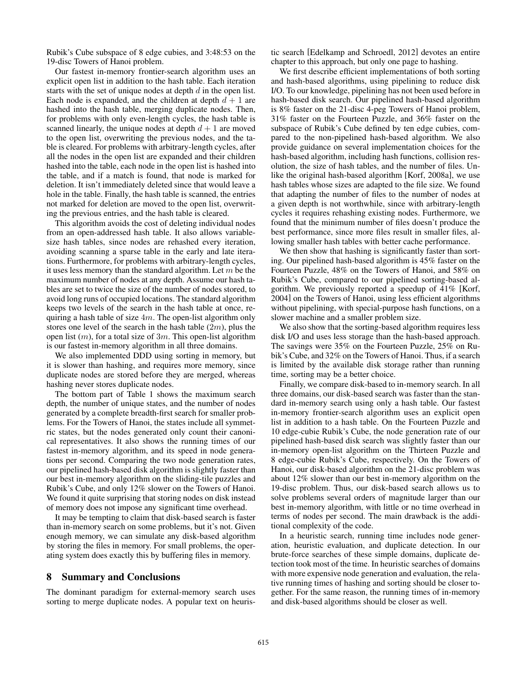Rubik's Cube subspace of 8 edge cubies, and 3:48:53 on the 19-disc Towers of Hanoi problem.

Our fastest in-memory frontier-search algorithm uses an explicit open list in addition to the hash table. Each iteration starts with the set of unique nodes at depth *d* in the open list. Each node is expanded, and the children at depth  $d + 1$  are hashed into the hash table, merging duplicate nodes. Then, for problems with only even-length cycles, the hash table is scanned linearly, the unique nodes at depth  $d + 1$  are moved to the open list, overwriting the previous nodes, and the table is cleared. For problems with arbitrary-length cycles, after all the nodes in the open list are expanded and their children hashed into the table, each node in the open list is hashed into the table, and if a match is found, that node is marked for deletion. It isn't immediately deleted since that would leave a hole in the table. Finally, the hash table is scanned, the entries not marked for deletion are moved to the open list, overwriting the previous entries, and the hash table is cleared.

This algorithm avoids the cost of deleting individual nodes from an open-addressed hash table. It also allows variablesize hash tables, since nodes are rehashed every iteration, avoiding scanning a sparse table in the early and late iterations. Furthermore, for problems with arbitrary-length cycles, it uses less memory than the standard algorithm. Let *m* be the maximum number of nodes at any depth. Assume our hash tables are set to twice the size of the number of nodes stored, to avoid long runs of occupied locations. The standard algorithm keeps two levels of the search in the hash table at once, requiring a hash table of size 4*m*. The open-list algorithm only stores one level of the search in the hash table (2*m*), plus the open list (*m*), for a total size of 3*m*. This open-list algorithm is our fastest in-memory algorithm in all three domains.

We also implemented DDD using sorting in memory, but it is slower than hashing, and requires more memory, since duplicate nodes are stored before they are merged, whereas hashing never stores duplicate nodes.

The bottom part of Table 1 shows the maximum search depth, the number of unique states, and the number of nodes generated by a complete breadth-first search for smaller problems. For the Towers of Hanoi, the states include all symmetric states, but the nodes generated only count their canonical representatives. It also shows the running times of our fastest in-memory algorithm, and its speed in node generations per second. Comparing the two node generation rates, our pipelined hash-based disk algorithm is slightly faster than our best in-memory algorithm on the sliding-tile puzzles and Rubik's Cube, and only 12% slower on the Towers of Hanoi. We found it quite surprising that storing nodes on disk instead of memory does not impose any significant time overhead.

It may be tempting to claim that disk-based search is faster than in-memory search on some problems, but it's not. Given enough memory, we can simulate any disk-based algorithm by storing the files in memory. For small problems, the operating system does exactly this by buffering files in memory.

#### 8 Summary and Conclusions

The dominant paradigm for external-memory search uses sorting to merge duplicate nodes. A popular text on heuristic search [Edelkamp and Schroedl, 2012] devotes an entire chapter to this approach, but only one page to hashing.

We first describe efficient implementations of both sorting and hash-based algorithms, using pipelining to reduce disk I/O. To our knowledge, pipelining has not been used before in hash-based disk search. Our pipelined hash-based algorithm is 8% faster on the 21-disc 4-peg Towers of Hanoi problem, 31% faster on the Fourteen Puzzle, and 36% faster on the subspace of Rubik's Cube defined by ten edge cubies, compared to the non-pipelined hash-based algorithm. We also provide guidance on several implementation choices for the hash-based algorithm, including hash functions, collision resolution, the size of hash tables, and the number of files. Unlike the original hash-based algorithm [Korf, 2008a], we use hash tables whose sizes are adapted to the file size. We found that adapting the number of files to the number of nodes at a given depth is not worthwhile, since with arbitrary-length cycles it requires rehashing existing nodes. Furthermore, we found that the minimum number of files doesn't produce the best performance, since more files result in smaller files, allowing smaller hash tables with better cache performance.

We then show that hashing is significantly faster than sorting. Our pipelined hash-based algorithm is 45% faster on the Fourteen Puzzle, 48% on the Towers of Hanoi, and 58% on Rubik's Cube, compared to our pipelined sorting-based algorithm. We previously reported a speedup of 41% [Korf, 2004] on the Towers of Hanoi, using less efficient algorithms without pipelining, with special-purpose hash functions, on a slower machine and a smaller problem size.

We also show that the sorting-based algorithm requires less disk I/O and uses less storage than the hash-based approach. The savings were 35% on the Fourteen Puzzle, 25% on Rubik's Cube, and 32% on the Towers of Hanoi. Thus, if a search is limited by the available disk storage rather than running time, sorting may be a better choice.

Finally, we compare disk-based to in-memory search. In all three domains, our disk-based search was faster than the standard in-memory search using only a hash table. Our fastest in-memory frontier-search algorithm uses an explicit open list in addition to a hash table. On the Fourteen Puzzle and 10 edge-cubie Rubik's Cube, the node generation rate of our pipelined hash-based disk search was slightly faster than our in-memory open-list algorithm on the Thirteen Puzzle and 8 edge-cubie Rubik's Cube, respectively. On the Towers of Hanoi, our disk-based algorithm on the 21-disc problem was about 12% slower than our best in-memory algorithm on the 19-disc problem. Thus, our disk-based search allows us to solve problems several orders of magnitude larger than our best in-memory algorithm, with little or no time overhead in terms of nodes per second. The main drawback is the additional complexity of the code.

In a heuristic search, running time includes node generation, heuristic evaluation, and duplicate detection. In our brute-force searches of these simple domains, duplicate detection took most of the time. In heuristic searches of domains with more expensive node generation and evaluation, the relative running times of hashing and sorting should be closer together. For the same reason, the running times of in-memory and disk-based algorithms should be closer as well.